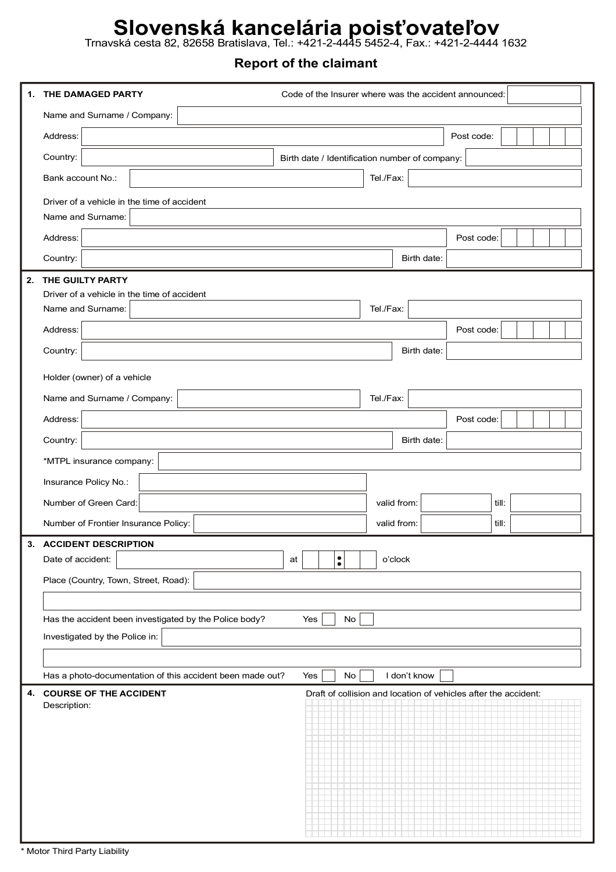## **Slovenská kancelária poisťovateľov**

Trnavská cesta 82, 82658 Bratislava, Tel.: +421-2-4445 5452-4, Fax.: +421-2-4444 1632

## **Report of the claimant**

| 1. | THE DAMAGED PARTY                                                              | Code of the Insurer where was the accident announced:           |           |              |            |       |  |  |  |  |
|----|--------------------------------------------------------------------------------|-----------------------------------------------------------------|-----------|--------------|------------|-------|--|--|--|--|
|    | Name and Surname / Company:                                                    |                                                                 |           |              |            |       |  |  |  |  |
|    | Address:                                                                       |                                                                 |           |              | Post code: |       |  |  |  |  |
|    | Country:                                                                       | Birth date / Identification number of company:                  |           |              |            |       |  |  |  |  |
|    | Bank account No.:                                                              | Tel./Fax:                                                       |           |              |            |       |  |  |  |  |
|    | Driver of a vehicle in the time of accident                                    |                                                                 |           |              |            |       |  |  |  |  |
|    | Name and Surname:                                                              |                                                                 |           |              |            |       |  |  |  |  |
|    | Address:                                                                       |                                                                 |           |              | Post code: |       |  |  |  |  |
|    | Country:                                                                       |                                                                 |           | Birth date:  |            |       |  |  |  |  |
| 2. | THE GUILTY PARTY                                                               |                                                                 |           |              |            |       |  |  |  |  |
|    | Driver of a vehicle in the time of accident                                    |                                                                 |           |              |            |       |  |  |  |  |
|    | Name and Surname:                                                              |                                                                 | Tel./Fax: |              |            |       |  |  |  |  |
|    | Address:                                                                       |                                                                 |           |              | Post code: |       |  |  |  |  |
|    | Country:                                                                       |                                                                 |           | Birth date:  |            |       |  |  |  |  |
|    | Holder (owner) of a vehicle                                                    |                                                                 |           |              |            |       |  |  |  |  |
|    | Name and Surname / Company:                                                    |                                                                 | Tel./Fax: |              |            |       |  |  |  |  |
|    | Address:                                                                       |                                                                 |           |              | Post code: |       |  |  |  |  |
|    | Country:                                                                       |                                                                 |           | Birth date:  |            |       |  |  |  |  |
|    | *MTPL insurance company:                                                       |                                                                 |           |              |            |       |  |  |  |  |
|    | Insurance Policy No.:                                                          |                                                                 |           |              |            |       |  |  |  |  |
|    | Number of Green Card:                                                          |                                                                 |           | valid from:  |            | till: |  |  |  |  |
|    | Number of Frontier Insurance Policy:                                           |                                                                 |           | valid from:  |            | till: |  |  |  |  |
|    | 3. ACCIDENT DESCRIPTION                                                        |                                                                 |           |              |            |       |  |  |  |  |
|    | Date of accident:                                                              | $\ddot{\bullet}$<br>at                                          |           | o'clock      |            |       |  |  |  |  |
|    | Place (Country, Town, Street, Road):                                           |                                                                 |           |              |            |       |  |  |  |  |
|    |                                                                                |                                                                 |           |              |            |       |  |  |  |  |
|    | Has the accident been investigated by the Police body?<br>$\mathsf{No}$<br>Yes |                                                                 |           |              |            |       |  |  |  |  |
|    | Investigated by the Police in:                                                 |                                                                 |           |              |            |       |  |  |  |  |
|    |                                                                                |                                                                 |           |              |            |       |  |  |  |  |
|    | Has a photo-documentation of this accident been made out?                      | Yes<br>$\mathsf{No}$                                            |           | I don't know |            |       |  |  |  |  |
| 4. | <b>COURSE OF THE ACCIDENT</b><br>Description:                                  | Draft of collision and location of vehicles after the accident: |           |              |            |       |  |  |  |  |
|    |                                                                                |                                                                 |           |              |            |       |  |  |  |  |
|    |                                                                                |                                                                 |           |              |            |       |  |  |  |  |
|    |                                                                                |                                                                 |           |              |            |       |  |  |  |  |
|    |                                                                                |                                                                 |           |              |            |       |  |  |  |  |
|    |                                                                                |                                                                 |           |              |            |       |  |  |  |  |
|    |                                                                                |                                                                 |           |              |            |       |  |  |  |  |
|    |                                                                                |                                                                 |           |              |            |       |  |  |  |  |